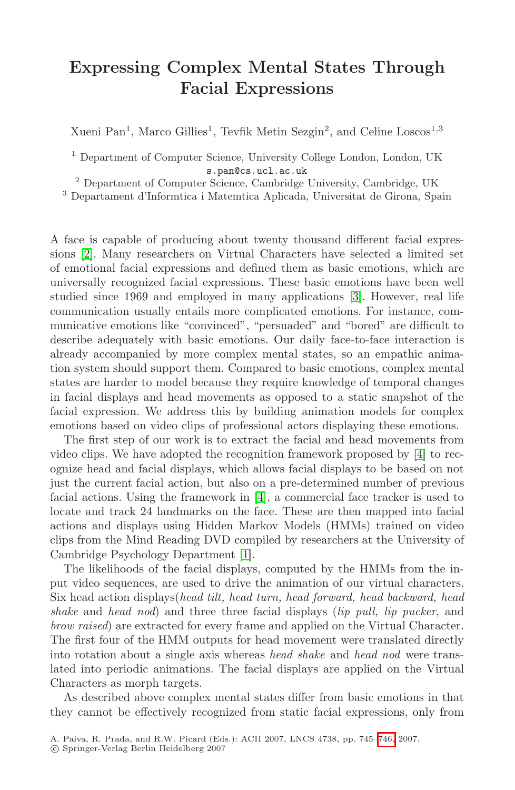## **Expressing Complex Mental States Through Facial Expressions**

Xueni Pan<sup>1</sup>, Marco Gillies<sup>1</sup>, Tevfik Metin Sezgin<sup>2</sup>, and Celine Loscos<sup>1,3</sup>

<sup>1</sup> Department of Computer Science, University College London, London, UK s.pan@cs.ucl.ac.uk

<sup>2</sup> Department of Computer Science, Cambridge University, Cambridge, UK

<sup>3</sup> Departament d'Informtica i Matemtica Aplicada, Universitat de Girona, Spain

A face is capable of producing about twenty thousand different facial expressions [\[2\]](#page-1-0). Many researchers on Virtual Characters have selected a limited set of emotional facial expressions and defined them as basic emotions, which are universally recognized facial expressions. These basic emotions have been well studied since 1969 and employed in many applications [\[3\]](#page-1-1). However, real life communication usually entails more complicated emotions. For instance, communicative emotions like "convinced", "persuaded" and "bored" are difficult to describe adequately with basic emotions. Our daily face-to-face interaction is already accompanied by more complex mental states, so an empathic animation system should support them. Compared to basic emotions, complex mental states are harder to model because they require knowledge of temporal changes in facial displays and head movements as opposed to a static snapshot of the facial expression. We address this by building animation models for complex emotions based on video clips of professional actors displaying these emotions.

The first step of our work is to extract the facial and head movements from video clips. We have adopted the recognition framework proposed by [\[4\]](#page-1-2) to recognize head and facial displays, which allows facial displays to be based on not just the current facial action, but also on a pre-determined number of previous facial actions. Using the framework in [\[4\]](#page-1-2), a commercial face tracker is used to locate and track 24 landmarks on the face. These are then mapped into facial actions and displays using Hidden Markov Models (HMMs) trained on video clips from the Mind Reading DVD compiled by researchers at the University of Cambridge Psychology Department [\[1\]](#page-1-3).

The likelihoods of the facial displays, computed by the HMMs from the input video sequences, are used to drive the animation of our virtual characters. Six head action displays(head tilt, head turn, head forward, head backward, head shake and head nod) and three three facial displays (*lip pull, lip pucker*, and brow raised) are extracted for every frame and applied on the Virtual Character. The first four of the HMM outputs for head movement were translated directly into rotation about a single axis whereas head shake and head nod were translated into periodic animations. The facial displays are applied on the Virtual Characters as morph targets.

As described above complex mental states differ from basic emotions in that they cannot be effectively recognized from static facial expressions, only from

A. Paiva, R. Prada, and R.W. Picard (Eds.): ACII 2007, LNCS 4738, pp. 745–[746,](#page-1-4) 2007. -c Springer-Verlag Berlin Heidelberg 2007